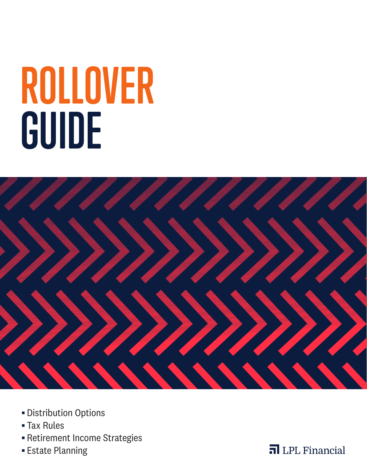# **ROLLOVER GUIDE**



- § Distribution Options
- § Tax Rules
- § Retirement Income Strategies
- § Estate Planning

**n** LPL Financial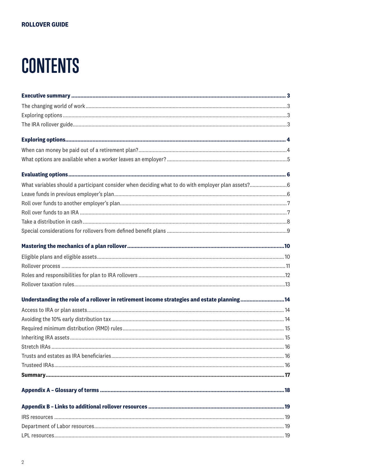# **CONTENTS**

| Understanding the role of a rollover in retirement income strategies and estate planning14 |  |
|--------------------------------------------------------------------------------------------|--|
|                                                                                            |  |
|                                                                                            |  |
|                                                                                            |  |
|                                                                                            |  |
|                                                                                            |  |
|                                                                                            |  |
|                                                                                            |  |
|                                                                                            |  |
|                                                                                            |  |
|                                                                                            |  |
|                                                                                            |  |
|                                                                                            |  |
|                                                                                            |  |
|                                                                                            |  |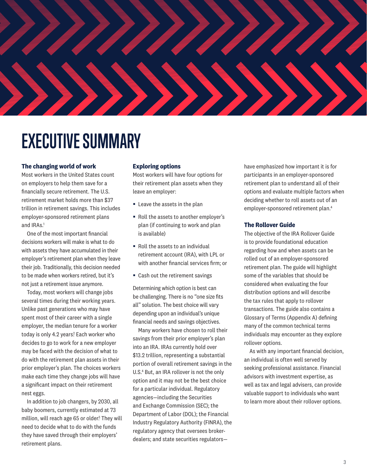# **EXECUTIVE SUMMARY**

# **The changing world of work**

Most workers in the United States count on employers to help them save for a financially secure retirement. The U.S. retirement market holds more than \$37 trillion in retirement savings. This includes employer-sponsored retirement plans and IRAs.<sup>1</sup>

One of the most important financial decisions workers will make is what to do with assets they have accumulated in their employer's retirement plan when they leave their job. Traditionally, this decision needed to be made when workers retired, but it's not just a retirement issue anymore.

Today, most workers will change jobs several times during their working years. Unlike past generations who may have spent most of their career with a single employer, the median tenure for a worker today is only 4.2 years? Each worker who decides to go to work for a new employer may be faced with the decision of what to do with the retirement plan assets in their prior employer's plan. The choices workers make each time they change jobs will have a significant impact on their retirement nest eggs.

In addition to job changers, by 2030, all baby boomers, currently estimated at 73 million, will reach age 65 or older.<sup>3</sup> They will need to decide what to do with the funds they have saved through their employers' retirement plans.

# **Exploring options**

Most workers will have four options for their retirement plan assets when they leave an employer:

- Leave the assets in the plan
- Roll the assets to another employer's plan (if continuing to work and plan is available)
- Roll the assets to an individual retirement account (IRA), with LPL or with another financial services firm; or
- Cash out the retirement savings

Determining which option is best can be challenging. There is no "one size fits all" solution. The best choice will vary depending upon an individual's unique financial needs and savings objectives.

Many workers have chosen to roll their savings from their prior employer's plan into an IRA. IRAs currently hold over \$13.2 trillion, representing a substantial portion of overall retirement savings in the U.S.<sup>4</sup> But, an IRA rollover is not the only option and it may not be the best choice for a particular individual. Regulatory agencies—including the Securities and Exchange Commission (SEC); the Department of Labor (DOL); the Financial Industry Regulatory Authority (FINRA), the regulatory agency that oversees brokerdealers; and state securities regulators—

have emphasized how important it is for participants in an employer-sponsored retirement plan to understand all of their options and evaluate multiple factors when deciding whether to roll assets out of an employer-sponsored retirement plan.4

# **The Rollover Guide**

The objective of the IRA Rollover Guide is to provide foundational education regarding how and when assets can be rolled out of an employer-sponsored retirement plan. The guide will highlight some of the variables that should be considered when evaluating the four distribution options and will describe the tax rules that apply to rollover transactions. The guide also contains a Glossary of Terms (Appendix A) defining many of the common technical terms individuals may encounter as they explore rollover options.

As with any important financial decision, an individual is often well served by seeking professional assistance. Financial advisors with investment expertise, as well as tax and legal advisers, can provide valuable support to individuals who want to learn more about their rollover options.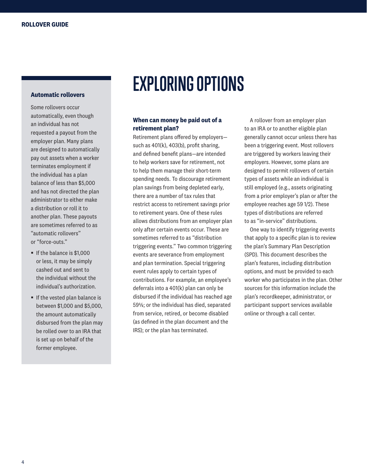# **Automatic rollovers**

Some rollovers occur automatically, even though an individual has not requested a payout from the employer plan. Many plans are designed to automatically pay out assets when a worker terminates employment if the individual has a plan balance of less than \$5,000 and has not directed the plan administrator to either make a distribution or roll it to another plan. These payouts are sometimes referred to as "automatic rollovers" or "force-outs."

- § If the balance is \$1,000 or less, it may be simply cashed out and sent to the individual without the individual's authorization.
- If the vested plan balance is between \$1,000 and \$5,000, the amount automatically disbursed from the plan may be rolled over to an IRA that is set up on behalf of the former employee.

# **EXPLORING OPTIONS**

# **When can money be paid out of a retirement plan?**

Retirement plans offered by employers such as 401(k), 403(b), profit sharing, and defined benefit plans—are intended to help workers save for retirement, not to help them manage their short-term spending needs. To discourage retirement plan savings from being depleted early, there are a number of tax rules that restrict access to retirement savings prior to retirement years. One of these rules allows distributions from an employer plan only after certain events occur. These are sometimes referred to as "distribution triggering events." Two common triggering events are severance from employment and plan termination. Special triggering event rules apply to certain types of contributions. For example, an employee's deferrals into a 401(k) plan can only be disbursed if the individual has reached age 59½; or the individual has died, separated from service, retired, or become disabled (as defined in the plan document and the IRS); or the plan has terminated.

A rollover from an employer plan to an IRA or to another eligible plan generally cannot occur unless there has been a triggering event. Most rollovers are triggered by workers leaving their employers. However, some plans are designed to permit rollovers of certain types of assets while an individual is still employed (e.g., assets originating from a prior employer's plan or after the employee reaches age 59 1/2). These types of distributions are referred to as "in-service" distributions.

One way to identify triggering events that apply to a specific plan is to review the plan's Summary Plan Description (SPD). This document describes the plan's features, including distribution options, and must be provided to each worker who participates in the plan. Other sources for this information include the plan's recordkeeper, administrator, or participant support services available online or through a call center.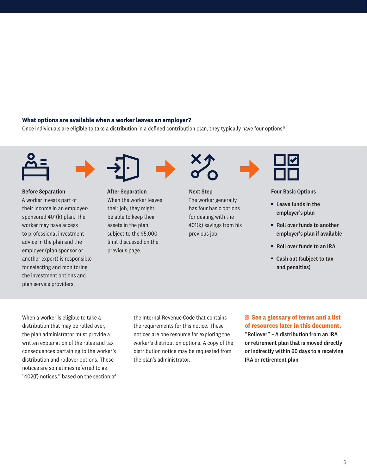# **What options are available when a worker leaves an employer?**

Once individuals are eligible to take a distribution in a defined contribution plan, they typically have four options.<sup>5</sup>





# Before Separation

A worker invests part of their income in an employersponsored 401(k) plan. The worker may have access to professional investment advice in the plan and the employer (plan sponsor or another expert) is responsible for selecting and monitoring the investment options and plan service providers.



After Separation When the worker leaves their job, they might be able to keep their assets in the plan, subject to the \$5,000 limit discussed on the previous page.



Next Step The worker generally has four basic options for dealing with the 401(k) savings from his previous job.



### Four Basic Options

- Leave funds in the employer's plan
- Roll over funds to another employer's plan if available
- § Roll over funds to an IRA
- Cash out (subject to tax and penalties)

When a worker is eligible to take a distribution that may be rolled over, the plan administrator must provide a written explanation of the rules and tax consequences pertaining to the worker's distribution and rollover options. These notices are sometimes referred to as "402(f) notices," based on the section of the Internal Revenue Code that contains the requirements for this notice. These notices are one resource for exploring the worker's distribution options. A copy of the distribution notice may be requested from the plan's administrator.

# **See a glossary of terms and a list of resources later in this document.**

"Rollover" – A distribution from an IRA or retirement plan that is moved directly or indirectly within 60 days to a receiving IRA or retirement plan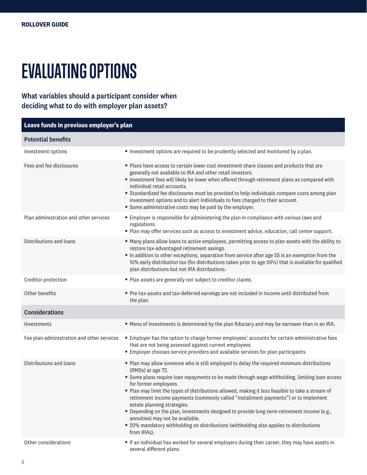# **EVALUATING OPTIONS**

# What variables should a participant consider when deciding what to do with employer plan assets?

| Leave funds in previous employer's plan    |                                                                                                                                                                                                                                                                                                                                                                                                                                                                                                                                                                                                                                                                                                                 |  |  |  |  |
|--------------------------------------------|-----------------------------------------------------------------------------------------------------------------------------------------------------------------------------------------------------------------------------------------------------------------------------------------------------------------------------------------------------------------------------------------------------------------------------------------------------------------------------------------------------------------------------------------------------------------------------------------------------------------------------------------------------------------------------------------------------------------|--|--|--|--|
| <b>Potential benefits</b>                  |                                                                                                                                                                                                                                                                                                                                                                                                                                                                                                                                                                                                                                                                                                                 |  |  |  |  |
| Investment options                         | Investment options are required to be prudently selected and monitored by a plan.                                                                                                                                                                                                                                                                                                                                                                                                                                                                                                                                                                                                                               |  |  |  |  |
| Fees and fee disclosures                   | Plans have access to certain lower cost investment share classes and products that are<br>generally not available to IRA and other retail investors.<br>Investment fees will likely be lower when offered through retirement plans as compared with<br>individual retail accounts.<br>" Standardized fee disclosures must be provided to help individuals compare costs among plan<br>investment options and to alert individuals to fees charged to their account.<br>Some administrative costs may be paid by the employer.                                                                                                                                                                                   |  |  |  |  |
| Plan administration and other services     | Employer is responsible for administering the plan in compliance with various laws and<br>regulations.<br>. Plan may offer services such as access to investment advice, education, call center support.                                                                                                                                                                                                                                                                                                                                                                                                                                                                                                        |  |  |  |  |
| Distributions and loans                    | " Many plans allow loans to active employees, permitting access to plan assets with the ability to<br>restore tax-advantaged retirement savings.<br>In addition to other exceptions, separation from service after age 55 is an exemption from the<br>10% early distribution tax (for distributions taken prior to age 591/2) that is available for qualified<br>plan distributions but not IRA distributions.                                                                                                                                                                                                                                                                                                  |  |  |  |  |
| Creditor protection                        | • Plan assets are generally not subject to creditor claims.                                                                                                                                                                                                                                                                                                                                                                                                                                                                                                                                                                                                                                                     |  |  |  |  |
| Other benefits                             | Pre-tax assets and tax-deferred earnings are not included in income until distributed from<br>the plan.                                                                                                                                                                                                                                                                                                                                                                                                                                                                                                                                                                                                         |  |  |  |  |
| <b>Considerations</b>                      |                                                                                                                                                                                                                                                                                                                                                                                                                                                                                                                                                                                                                                                                                                                 |  |  |  |  |
| Investments                                | " Menu of investments is determined by the plan fiduciary and may be narrower than in an IRA.                                                                                                                                                                                                                                                                                                                                                                                                                                                                                                                                                                                                                   |  |  |  |  |
| Fee plan administration and other services | Employer has the option to charge former employees' accounts for certain administrative fees<br>that are not being assessed against current employees.<br>Employer chooses service providers and available services for plan participants.                                                                                                                                                                                                                                                                                                                                                                                                                                                                      |  |  |  |  |
| Distributions and loans                    | • Plan may allow someone who is still employed to delay the required minimum distributions<br>(RMDs) at age 72.<br>Some plans require loan repayments to be made through wage withholding, limiting loan access<br>for former employees.<br>" Plan may limit the types of distributions allowed, making it less feasible to take a stream of<br>retirement income payments (commonly called "installment payments") or to implement<br>estate planning strategies.<br>" Depending on the plan, investments designed to provide long-term retirement income (e.g.,<br>annuities) may not be available.<br>• 20% mandatory withholding on distributions (withholding also applies to distributions<br>from IRAs). |  |  |  |  |
| Other considerations                       | If an individual has worked for several employers during their career, they may have assets in<br>several different plans.                                                                                                                                                                                                                                                                                                                                                                                                                                                                                                                                                                                      |  |  |  |  |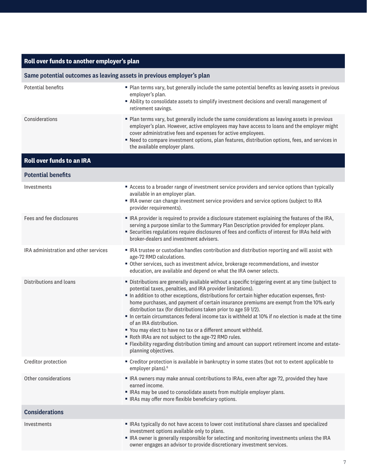| Roll over funds to another employer's plan                            |                                                                                                                                                                                                                                                                                                                                                                                                                                                                                                                                                                                                                                                                                                                                                                                                                     |  |  |  |  |
|-----------------------------------------------------------------------|---------------------------------------------------------------------------------------------------------------------------------------------------------------------------------------------------------------------------------------------------------------------------------------------------------------------------------------------------------------------------------------------------------------------------------------------------------------------------------------------------------------------------------------------------------------------------------------------------------------------------------------------------------------------------------------------------------------------------------------------------------------------------------------------------------------------|--|--|--|--|
| Same potential outcomes as leaving assets in previous employer's plan |                                                                                                                                                                                                                                                                                                                                                                                                                                                                                                                                                                                                                                                                                                                                                                                                                     |  |  |  |  |
| Potential benefits                                                    | Plan terms vary, but generally include the same potential benefits as leaving assets in previous<br>employer's plan.<br>Ability to consolidate assets to simplify investment decisions and overall management of<br>retirement savings.                                                                                                                                                                                                                                                                                                                                                                                                                                                                                                                                                                             |  |  |  |  |
| Considerations                                                        | " Plan terms vary, but generally include the same considerations as leaving assets in previous<br>employer's plan. However, active employees may have access to loans and the employer might<br>cover administrative fees and expenses for active employees.<br>" Need to compare investment options, plan features, distribution options, fees, and services in<br>the available employer plans.                                                                                                                                                                                                                                                                                                                                                                                                                   |  |  |  |  |
| <b>Roll over funds to an IRA</b>                                      |                                                                                                                                                                                                                                                                                                                                                                                                                                                                                                                                                                                                                                                                                                                                                                                                                     |  |  |  |  |
| <b>Potential benefits</b>                                             |                                                                                                                                                                                                                                                                                                                                                                                                                                                                                                                                                                                                                                                                                                                                                                                                                     |  |  |  |  |
| Investments                                                           | Access to a broader range of investment service providers and service options than typically<br>available in an employer plan.<br>• IRA owner can change investment service providers and service options (subject to IRA<br>provider requirements).                                                                                                                                                                                                                                                                                                                                                                                                                                                                                                                                                                |  |  |  |  |
| Fees and fee disclosures                                              | . IRA provider is required to provide a disclosure statement explaining the features of the IRA,<br>serving a purpose similar to the Summary Plan Description provided for employer plans.<br>• Securities regulations require disclosures of fees and conflicts of interest for IRAs held with<br>broker-dealers and investment advisers.                                                                                                                                                                                                                                                                                                                                                                                                                                                                          |  |  |  |  |
| IRA administration and other services                                 | • IRA trustee or custodian handles contribution and distribution reporting and will assist with<br>age-72 RMD calculations.<br>• Other services, such as investment advice, brokerage recommendations, and investor<br>education, are available and depend on what the IRA owner selects.                                                                                                                                                                                                                                                                                                                                                                                                                                                                                                                           |  |  |  |  |
| Distributions and loans                                               | " Distributions are generally available without a specific triggering event at any time (subject to<br>potential taxes, penalties, and IRA provider limitations).<br>In addition to other exceptions, distributions for certain higher education expenses, first-<br>home purchases, and payment of certain insurance premiums are exempt from the 10% early<br>distribution tax (for distributions taken prior to age 59 1/2).<br>In certain circumstances federal income tax is withheld at 10% if no election is made at the time<br>of an IRA distribution.<br>" You may elect to have no tax or a different amount withheld.<br>Roth IRAs are not subject to the age-72 RMD rules.<br>- Flexibility regarding distribution timing and amount can support retirement income and estate-<br>planning objectives. |  |  |  |  |
| Creditor protection                                                   | • Creditor protection is available in bankruptcy in some states (but not to extent applicable to<br>employer plans). <sup>6</sup>                                                                                                                                                                                                                                                                                                                                                                                                                                                                                                                                                                                                                                                                                   |  |  |  |  |
| Other considerations                                                  | • IRA owners may make annual contributions to IRAs, even after age 72, provided they have<br>earned income.<br>• IRAs may be used to consolidate assets from multiple employer plans.<br>• IRAs may offer more flexible beneficiary options.                                                                                                                                                                                                                                                                                                                                                                                                                                                                                                                                                                        |  |  |  |  |
| <b>Considerations</b>                                                 |                                                                                                                                                                                                                                                                                                                                                                                                                                                                                                                                                                                                                                                                                                                                                                                                                     |  |  |  |  |
| Investments                                                           | RAs typically do not have access to lower cost institutional share classes and specialized<br>investment options available only to plans.<br>• IRA owner is generally responsible for selecting and monitoring investments unless the IRA<br>owner engages an advisor to provide discretionary investment services.                                                                                                                                                                                                                                                                                                                                                                                                                                                                                                 |  |  |  |  |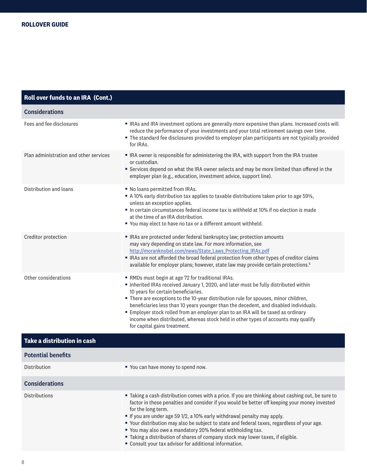| Roll over funds to an IRA (Cont.)      |                                                                                                                                                                                                                                                                                                                                                                                                                                                                                                                                                                         |
|----------------------------------------|-------------------------------------------------------------------------------------------------------------------------------------------------------------------------------------------------------------------------------------------------------------------------------------------------------------------------------------------------------------------------------------------------------------------------------------------------------------------------------------------------------------------------------------------------------------------------|
| <b>Considerations</b>                  |                                                                                                                                                                                                                                                                                                                                                                                                                                                                                                                                                                         |
| Fees and fee disclosures               | • IRAs and IRA investment options are generally more expensive than plans. Increased costs will<br>reduce the performance of your investments and your total retirement savings over time.<br>The standard fee disclosures provided to employer plan participants are not typically provided<br>for IRAs.                                                                                                                                                                                                                                                               |
| Plan administration and other services | • IRA owner is responsible for administering the IRA, with support from the IRA trustee<br>or custodian.<br>Services depend on what the IRA owner selects and may be more limited than offered in the<br>employer plan (e.g., education, investment advice, support line).                                                                                                                                                                                                                                                                                              |
| Distribution and loans                 | No loans permitted from IRAs.<br>A 10% early distribution tax applies to taxable distributions taken prior to age 591/2,<br>unless an exception applies.<br>In certain circumstances federal income tax is withheld at 10% if no election is made<br>at the time of an IRA distribution.<br>" You may elect to have no tax or a different amount withheld.                                                                                                                                                                                                              |
| Creditor protection                    | RAs are protected under federal bankruptcy law; protection amounts<br>may vary depending on state law. For more information, see<br>http://moranknobel.com/news/State_Laws_Protecting_IRAs.pdf<br>RAs are not afforded the broad federal protection from other types of creditor claims<br>available for employer plans; however, state law may provide certain protections. <sup>6</sup>                                                                                                                                                                               |
| Other considerations                   | RMDs must begin at age 72 for traditional IRAs.<br>Inherited IRAs received January 1, 2020, and later must be fully distributed within<br>10 years for certain beneficiaries.<br>■ There are exceptions to the 10-year distribution rule for spouses, minor children,<br>beneficiaries less than 10 years younger than the decedent, and disabled individuals.<br>Employer stock rolled from an employer plan to an IRA will be taxed as ordinary<br>income when distributed, whereas stock held in other types of accounts may qualify<br>for capital gains treatment. |
| Take a distribution in cash            |                                                                                                                                                                                                                                                                                                                                                                                                                                                                                                                                                                         |
| <b>Potential benefits</b>              |                                                                                                                                                                                                                                                                                                                                                                                                                                                                                                                                                                         |
| Distribution                           | " You can have money to spend now.                                                                                                                                                                                                                                                                                                                                                                                                                                                                                                                                      |
| <b>Considerations</b>                  |                                                                                                                                                                                                                                                                                                                                                                                                                                                                                                                                                                         |
| <b>Distributions</b>                   | " Taking a cash distribution comes with a price. If you are thinking about cashing out, be sure to<br>factor in these penalties and consider if you would be better off keeping your money invested<br>for the long term.<br>" If you are under age 59 1/2, a 10% early withdrawal penalty may apply.<br>" Your distribution may also be subject to state and federal taxes, regardless of your age.<br>" You may also owe a mandatory 20% federal withholding tax.                                                                                                     |

- Taking a distribution of shares of company stock may lower taxes, if eligible.
- Consult your tax advisor for additional information.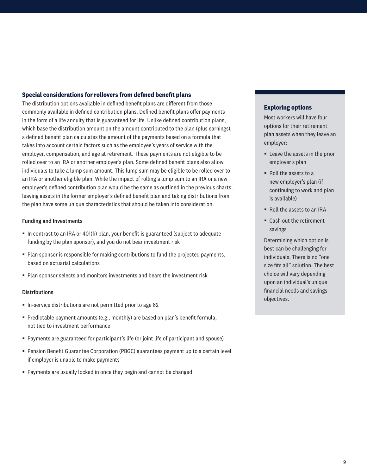# **Special considerations for rollovers from defined benefit plans**

The distribution options available in defined benefit plans are different from those commonly available in defined contribution plans. Defined benefit plans offer payments in the form of a life annuity that is guaranteed for life. Unlike defined contribution plans, which base the distribution amount on the amount contributed to the plan (plus earnings), a defined benefit plan calculates the amount of the payments based on a formula that takes into account certain factors such as the employee's years of service with the employer, compensation, and age at retirement. These payments are not eligible to be rolled over to an IRA or another employer's plan. Some defined benefit plans also allow individuals to take a lump sum amount. This lump sum may be eligible to be rolled over to an IRA or another eligible plan. While the impact of rolling a lump sum to an IRA or a new employer's defined contribution plan would be the same as outlined in the previous charts, leaving assets in the former employer's defined benefit plan and taking distributions from the plan have some unique characteristics that should be taken into consideration.

### Funding and Investments

- $\blacksquare$  In contrast to an IRA or 401(k) plan, your benefit is guaranteed (subject to adequate funding by the plan sponsor), and you do not bear investment risk
- Plan sponsor is responsible for making contributions to fund the projected payments, based on actuarial calculations
- Plan sponsor selects and monitors investments and bears the investment risk

### Distributions

- In-service distributions are not permitted prior to age 62
- Predictable payment amounts (e.g., monthly) are based on plan's benefit formula, not tied to investment performance
- Payments are guaranteed for participant's life (or joint life of participant and spouse)
- Pension Benefit Guarantee Corporation (PBGC) guarantees payment up to a certain level if employer is unable to make payments
- Payments are usually locked in once they begin and cannot be changed

# **Exploring options**

Most workers will have four options for their retirement plan assets when they leave an employer:

- Leave the assets in the prior employer's plan
- Roll the assets to a new employer's plan (if continuing to work and plan is available)
- Roll the assets to an IRA
- Cash out the retirement savings

Determining which option is best can be challenging for individuals. There is no "one size fits all" solution. The best choice will vary depending upon an individual's unique financial needs and savings objectives.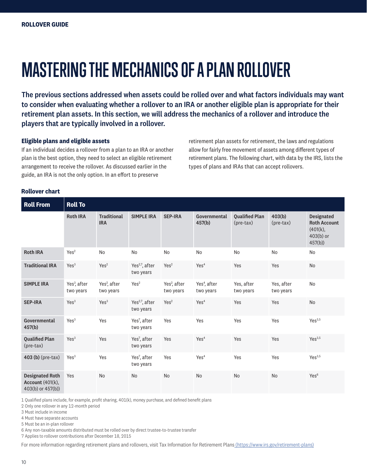# **MASTERING THE MECHANICS OF A PLAN ROLLOVER**

The previous sections addressed when assets could be rolled over and what factors individuals may want to consider when evaluating whether a rollover to an IRA or another eligible plan is appropriate for their retirement plan assets. In this section, we will address the mechanics of a rollover and introduce the players that are typically involved in a rollover.

# **Eligible plans and eligible assets**

If an individual decides a rollover from a plan to an IRA or another plan is the best option, they need to select an eligible retirement arrangement to receive the rollover. As discussed earlier in the guide, an IRA is not the only option. In an effort to preserve

retirement plan assets for retirement, the laws and regulations allow for fairly free movement of assets among different types of retirement plans. The following chart, with data by the IRS, lists the types of plans and IRAs that can accept rollovers.

### **Rollover chart**

| <b>Roll From</b>                                                       | <b>Roll To</b>                        |                                       |                                         |                                       |                                       |                                      |                         |                                                                               |
|------------------------------------------------------------------------|---------------------------------------|---------------------------------------|-----------------------------------------|---------------------------------------|---------------------------------------|--------------------------------------|-------------------------|-------------------------------------------------------------------------------|
|                                                                        | <b>Roth IRA</b>                       | <b>Traditional</b><br><b>IRA</b>      | <b>SIMPLE IRA</b>                       | <b>SEP-IRA</b>                        | Governmental<br>457(b)                | <b>Oualified Plan</b><br>$(pre-tax)$ | 403(b)<br>$(pre-tax)$   | <b>Designated</b><br><b>Roth Account</b><br>(401(k),<br>$403(b)$ or<br>457(b) |
| <b>Roth IRA</b>                                                        | Yes <sup>2</sup>                      | <b>No</b>                             | N <sub>o</sub>                          | <b>No</b>                             | N <sub>o</sub>                        | <b>No</b>                            | <b>No</b>               | No                                                                            |
| <b>Traditional IRA</b>                                                 | Yes <sup>3</sup>                      | Yes <sup>2</sup>                      | Yes <sup>2,7</sup> , after<br>two years | Yes <sup>2</sup>                      | Yes <sup>4</sup>                      | Yes                                  | Yes                     | <b>No</b>                                                                     |
| <b>SIMPLE IRA</b>                                                      | Yes <sup>3</sup> , after<br>two years | Yes <sup>2</sup> , after<br>two years | Yes <sup>2</sup>                        | Yes <sup>2</sup> , after<br>two years | Yes <sup>4</sup> , after<br>two years | Yes, after<br>two years              | Yes, after<br>two years | No                                                                            |
| <b>SEP-IRA</b>                                                         | Yes <sup>3</sup>                      | Yes <sup>3</sup>                      | Yes <sup>2,7</sup> , after<br>two years | Yes <sup>2</sup>                      | Yes <sup>4</sup>                      | Yes                                  | Yes                     | <b>No</b>                                                                     |
| Governmental<br>457(b)                                                 | Yes <sup>3</sup>                      | Yes                                   | Yes <sup>7</sup> , after<br>two years   | Yes                                   | Yes                                   | Yes                                  | Yes                     | Yes <sup>3,5</sup>                                                            |
| <b>Qualified Plan</b><br>$(\text{pre-tax})$                            | Yes <sup>3</sup>                      | Yes                                   | Yes <sup>7</sup> , after<br>two years   | Yes                                   | Yes <sup>4</sup>                      | Yes                                  | Yes                     | Yes <sup>3,5</sup>                                                            |
| 403 (b) (pre-tax)                                                      | Yes <sup>3</sup>                      | Yes                                   | Yes <sup>7</sup> , after<br>two years   | Yes                                   | Yes <sup>4</sup>                      | Yes                                  | Yes                     | Yes <sup>3,5</sup>                                                            |
| <b>Designated Roth</b><br><b>Account (401(k),</b><br>403(b) or 457(b)) | Yes                                   | <b>No</b>                             | N <sub>o</sub>                          | <b>No</b>                             | N <sub>o</sub>                        | <b>No</b>                            | N <sub>o</sub>          | Yes <sup>6</sup>                                                              |

1 Qualified plans include, for example, profit sharing, 401(k), money purchase, and defined benefit plans

2 Only one rollover in any 12-month period

3 Must include in income

4 Must have separate accounts

5 Must be an in-plan rollover

6 Any non-taxable amounts distributed must be rolled over by direct trustee-to-trustee transfer

7 Applies to rollover contributions after December 18, 2015

For more information regarding retirement plans and rollovers, visit Tax Information for Retirement Plans (https://www.irs.gov/retirement-plans)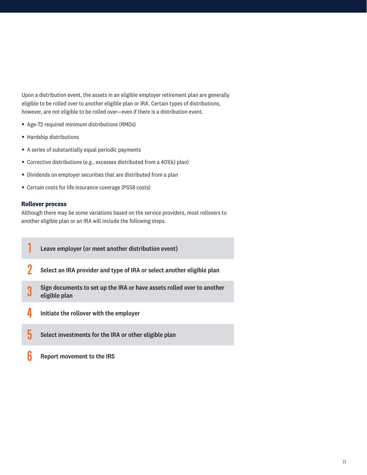Upon a distribution event, the assets in an eligible employer retirement plan are generally eligible to be rolled over to another eligible plan or IRA. Certain types of distributions, however, are not eligible to be rolled over—even if there is a distribution event.

- Age-72 required minimum distributions (RMDs)
- Hardship distributions
- A series of substantially equal periodic payments
- Corrective distributions (e.g., excesses distributed from a 401(k) plan)
- Dividends on employer securities that are distributed from a plan
- Certain costs for life insurance coverage (PS58 costs)

### **Rollover process**

Although there may be some variations based on the service providers, most rollovers to another eligible plan or an IRA will include the following steps.

- **1** Leave employer (or meet another distribution event)
- **2** Select an IRA provider and type of IRA or select another eligible plan
- **3** Sign documents to set up the IRA or have assets rolled over to another eligible plan
- **4** Initiate the rollover with the employer
- **5** Select investments for the IRA or other eligible plan
- **6** Report movement to the IRS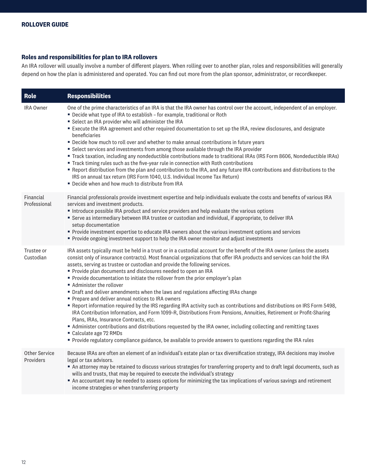# **Roles and responsibilities for plan to IRA rollovers**

An IRA rollover will usually involve a number of different players. When rolling over to another plan, roles and responsibilities will generally depend on how the plan is administered and operated. You can find out more from the plan sponsor, administrator, or recordkeeper.

| Role                       | <b>Responsibilities</b>                                                                                                                                                                                                                                                                                                                                                                                                                                                                                                                                                                                                                                                                                                                                                                                                                                                                                                                                                                                                                                                                                                                                                                                               |
|----------------------------|-----------------------------------------------------------------------------------------------------------------------------------------------------------------------------------------------------------------------------------------------------------------------------------------------------------------------------------------------------------------------------------------------------------------------------------------------------------------------------------------------------------------------------------------------------------------------------------------------------------------------------------------------------------------------------------------------------------------------------------------------------------------------------------------------------------------------------------------------------------------------------------------------------------------------------------------------------------------------------------------------------------------------------------------------------------------------------------------------------------------------------------------------------------------------------------------------------------------------|
| <b>IRA Owner</b>           | One of the prime characteristics of an IRA is that the IRA owner has control over the account, independent of an employer.<br>■ Decide what type of IRA to establish - for example, traditional or Roth<br>Select an IRA provider who will administer the IRA<br>Execute the IRA agreement and other required documentation to set up the IRA, review disclosures, and designate<br>beneficiaries<br>" Decide how much to roll over and whether to make annual contributions in future years<br>• Select services and investments from among those available through the IRA provider<br>" Track taxation, including any nondeductible contributions made to traditional IRAs (IRS Form 8606, Nondeductible IRAs)<br>Track timing rules such as the five-year rule in connection with Roth contributions<br>" Report distribution from the plan and contribution to the IRA, and any future IRA contributions and distributions to the<br>IRS on annual tax return (IRS Form 1040, U.S. Individual Income Tax Return)<br>Decide when and how much to distribute from IRA                                                                                                                                              |
| Financial<br>Professional  | Financial professionals provide investment expertise and help individuals evaluate the costs and benefits of various IRA<br>services and investment products.<br>Introduce possible IRA product and service providers and help evaluate the various options<br>" Serve as intermediary between IRA trustee or custodian and individual, if appropriate, to deliver IRA<br>setup documentation<br>Provide investment expertise to educate IRA owners about the various investment options and services<br>Provide ongoing investment support to help the IRA owner monitor and adjust investments                                                                                                                                                                                                                                                                                                                                                                                                                                                                                                                                                                                                                      |
| Trustee or<br>Custodian    | IRA assets typically must be held in a trust or in a custodial account for the benefit of the IRA owner (unless the assets<br>consist only of insurance contracts). Most financial organizations that offer IRA products and services can hold the IRA<br>assets, serving as trustee or custodian and provide the following services.<br>Provide plan documents and disclosures needed to open an IRA<br>Provide documentation to initiate the rollover from the prior employer's plan<br>Administer the rollover<br>• Draft and deliver amendments when the laws and regulations affecting IRAs change<br>Prepare and deliver annual notices to IRA owners<br>■ Report information required by the IRS regarding IRA activity such as contributions and distributions on IRS Form 5498,<br>IRA Contribution Information, and Form 1099-R, Distributions From Pensions, Annuities, Retirement or Profit-Sharing<br>Plans, IRAs, Insurance Contracts, etc.<br>Administer contributions and distributions requested by the IRA owner, including collecting and remitting taxes<br>Calculate age 72 RMDs<br>Provide regulatory compliance guidance, be available to provide answers to questions regarding the IRA rules |
| Other Service<br>Providers | Because IRAs are often an element of an individual's estate plan or tax diversification strategy, IRA decisions may involve<br>legal or tax advisors.<br>An attorney may be retained to discuss various strategies for transferring property and to draft legal documents, such as<br>wills and trusts, that may be required to execute the individual's strategy<br>An accountant may be needed to assess options for minimizing the tax implications of various savings and retirement<br>income strategies or when transferring property                                                                                                                                                                                                                                                                                                                                                                                                                                                                                                                                                                                                                                                                           |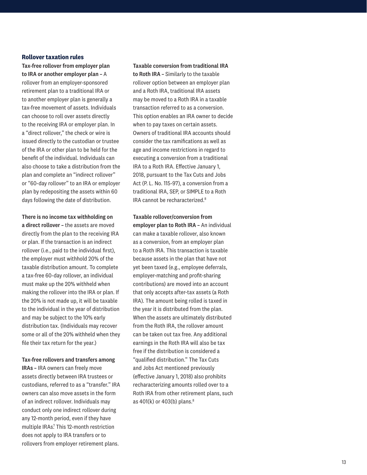# **Rollover taxation rules**

Tax-free rollover from employer plan to IRA or another employer plan – A rollover from an employer-sponsored retirement plan to a traditional IRA or to another employer plan is generally a tax-free movement of assets. Individuals can choose to roll over assets directly to the receiving IRA or employer plan. In a "direct rollover," the check or wire is issued directly to the custodian or trustee of the IRA or other plan to be held for the benefit of the individual. Individuals can also choose to take a distribution from the plan and complete an "indirect rollover" or "60-day rollover" to an IRA or employer plan by redepositing the assets within 60 days following the date of distribution.

There is no income tax withholding on a direct rollover – the assets are moved directly from the plan to the receiving IRA or plan. If the transaction is an indirect rollover (i.e., paid to the individual first), the employer must withhold 20% of the taxable distribution amount. To complete a tax-free 60-day rollover, an individual must make up the 20% withheld when making the rollover into the IRA or plan. If the 20% is not made up, it will be taxable to the individual in the year of distribution and may be subject to the 10% early distribution tax. (Individuals may recover some or all of the 20% withheld when they file their tax return for the year.)

### Tax-free rollovers and transfers among

IRAs – IRA owners can freely move assets directly between IRA trustees or custodians, referred to as a "transfer." IRA owners can also move assets in the form of an indirect rollover. Individuals may conduct only one indirect rollover during any 12-month period, even if they have multiple IRAs? This 12-month restriction does not apply to IRA transfers or to rollovers from employer retirement plans.

Taxable conversion from traditional IRA to Roth IRA – Similarly to the taxable rollover option between an employer plan and a Roth IRA, traditional IRA assets may be moved to a Roth IRA in a taxable transaction referred to as a conversion. This option enables an IRA owner to decide when to pay taxes on certain assets. Owners of traditional IRA accounts should consider the tax ramifications as well as age and income restrictions in regard to executing a conversion from a traditional IRA to a Roth IRA. Effective January 1, 2018, pursuant to the Tax Cuts and Jobs Act (P. L. No. 115-97), a conversion from a traditional IRA, SEP, or SIMPLE to a Roth IRA cannot be recharacterized.<sup>8</sup>

Taxable rollover/conversion from employer plan to Roth IRA – An individual can make a taxable rollover, also known as a conversion, from an employer plan to a Roth IRA. This transaction is taxable because assets in the plan that have not yet been taxed (e.g., employee deferrals, employer-matching and profit-sharing contributions) are moved into an account that only accepts after-tax assets (a Roth IRA). The amount being rolled is taxed in the year it is distributed from the plan. When the assets are ultimately distributed from the Roth IRA, the rollover amount can be taken out tax free. Any additional earnings in the Roth IRA will also be tax free if the distribution is considered a "qualified distribution." The Tax Cuts and Jobs Act mentioned previously (effective January 1, 2018) also prohibits recharacterizing amounts rolled over to a Roth IRA from other retirement plans, such as 401(k) or 403(b) plans. $8<sup>8</sup>$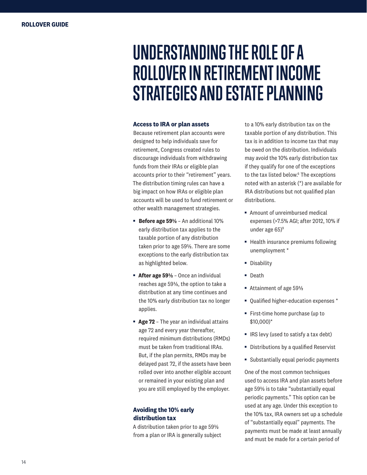# **UNDERSTANDING THE ROLE OF A ROLLOVER IN RETIREMENT INCOME STRATEGIES AND ESTATE PLANNING**

### **Access to IRA or plan assets**

Because retirement plan accounts were designed to help individuals save for retirement, Congress created rules to discourage individuals from withdrawing funds from their IRAs or eligible plan accounts prior to their "retirement" years. The distribution timing rules can have a big impact on how IRAs or eligible plan accounts will be used to fund retirement or other wealth management strategies.

- § **Before age 59½** An additional 10% early distribution tax applies to the taxable portion of any distribution taken prior to age 59½. There are some exceptions to the early distribution tax as highlighted below.
- **After age 59½** Once an individual reaches age 59½, the option to take a distribution at any time continues and the 10% early distribution tax no longer applies.
- **Age 72** The year an individual attains age 72 and every year thereafter, required minimum distributions (RMDs) must be taken from traditional IRAs. But, if the plan permits, RMDs may be delayed past 72, if the assets have been rolled over into another eligible account or remained in your existing plan and you are still employed by the employer.

# **Avoiding the 10% early distribution tax**

A distribution taken prior to age 59½ from a plan or IRA is generally subject to a 10% early distribution tax on the taxable portion of any distribution. This tax is in addition to income tax that may be owed on the distribution. Individuals may avoid the 10% early distribution tax if they qualify for one of the exceptions to the tax listed below.<sup>6</sup> The exceptions noted with an asterisk (\*) are available for IRA distributions but not qualified plan distributions.

- Amount of unreimbursed medical expenses (>7.5% AGI; after 2012, 10% if under age  $65$ <sup>9</sup>
- Health insurance premiums following unemployment \*
- § Disability
- § Death
- Attainment of age 59½
- Qualified higher-education expenses \*
- First-time home purchase (up to \$10,000)\*
- IRS levy (used to satisfy a tax debt)
- Distributions by a qualified Reservist
- § Substantially equal periodic payments

One of the most common techniques used to access IRA and plan assets before age 59½ is to take "substantially equal periodic payments." This option can be used at any age. Under this exception to the 10% tax, IRA owners set up a schedule of "substantially equal" payments. The payments must be made at least annually and must be made for a certain period of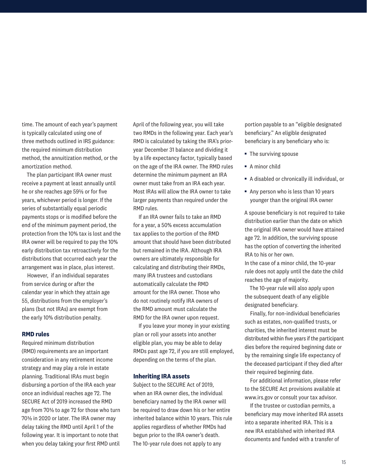time. The amount of each year's payment is typically calculated using one of three methods outlined in IRS guidance: the required minimum distribution method, the annuitization method, or the amortization method.

The plan participant IRA owner must receive a payment at least annually until he or she reaches age 59½ or for five years, whichever period is longer. If the series of substantially equal periodic payments stops or is modified before the end of the minimum payment period, the protection from the 10% tax is lost and the IRA owner will be required to pay the 10% early distribution tax retroactively for the distributions that occurred each year the arrangement was in place, plus interest.

However, if an individual separates from service during or after the calendar year in which they attain age 55, distributions from the employer's plans (but not IRAs) are exempt from the early 10% distribution penalty.

### **RMD rules**

Required minimum distribution (RMD) requirements are an important consideration in any retirement income strategy and may play a role in estate planning. Traditional IRAs must begin disbursing a portion of the IRA each year once an individual reaches age 72. The SECURE Act of 2019 increased the RMD age from 70½ to age 72 for those who turn 70½ in 2020 or later. The IRA owner may delay taking the RMD until April 1 of the following year. It is important to note that when you delay taking your first RMD until

April of the following year, you will take two RMDs in the following year. Each year's RMD is calculated by taking the IRA's prioryear December 31 balance and dividing it by a life expectancy factor, typically based on the age of the IRA owner. The RMD rules determine the minimum payment an IRA owner must take from an IRA each year. Most IRAs will allow the IRA owner to take larger payments than required under the RMD rules.

If an IRA owner fails to take an RMD for a year, a 50% excess accumulation tax applies to the portion of the RMD amount that should have been distributed but remained in the IRA. Although IRA owners are ultimately responsible for calculating and distributing their RMDs, many IRA trustees and custodians automatically calculate the RMD amount for the IRA owner. Those who do not routinely notify IRA owners of the RMD amount must calculate the RMD for the IRA owner upon request.

If you leave your money in your existing plan or roll your assets into another eligible plan, you may be able to delay RMDs past age 72, if you are still employed, depending on the terms of the plan.

### **Inheriting IRA assets**

Subject to the SECURE Act of 2019, when an IRA owner dies, the individual beneficiary named by the IRA owner will be required to draw down his or her entire inherited balance within 10 years. This rule applies regardless of whether RMDs had begun prior to the IRA owner's death. The 10-year rule does not apply to any

portion payable to an "eligible designated beneficiary." An eligible designated beneficiary is any beneficiary who is:

- The surviving spouse
- § A minor child
- A disabled or chronically ill individual, or
- Any person who is less than 10 years younger than the original IRA owner

A spouse beneficiary is not required to take distribution earlier than the date on which the original IRA owner would have attained age 72. In addition, the surviving spouse has the option of converting the inherited IRA to his or her own.

In the case of a minor child, the 10-year rule does not apply until the date the child reaches the age of majority.

The 10-year rule will also apply upon the subsequent death of any eligible designated beneficiary.

Finally, for non-individual beneficiaries such as estates, non-qualified trusts, or charities, the inherited interest must be distributed within five years if the participant dies before the required beginning date or by the remaining single life expectancy of the deceased participant if they died after their required beginning date.

For additional information, please refer to the SECURE Act provisions available at www.irs.gov or consult your tax advisor.

If the trustee or custodian permits, a beneficiary may move inherited IRA assets into a separate inherited IRA. This is a new IRA established with inherited IRA documents and funded with a transfer of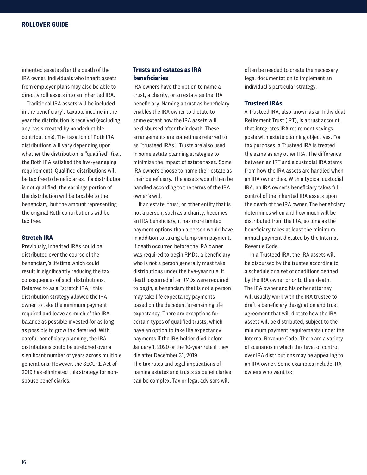inherited assets after the death of the IRA owner. Individuals who inherit assets from employer plans may also be able to directly roll assets into an inherited IRA.

Traditional IRA assets will be included in the beneficiary's taxable income in the year the distribution is received (excluding any basis created by nondeductible contributions). The taxation of Roth IRA distributions will vary depending upon whether the distribution is "qualified" (i.e., the Roth IRA satisfied the five-year aging requirement). Qualified distributions will be tax free to beneficiaries. If a distribution is not qualified, the earnings portion of the distribution will be taxable to the beneficiary, but the amount representing the original Roth contributions will be tax free.

# **Stretch IRA**

Previously, inherited IRAs could be distributed over the course of the beneficiary's lifetime which could result in significantly reducing the tax consequences of such distributions. Referred to as a "stretch IRA," this distribution strategy allowed the IRA owner to take the minimum payment required and leave as much of the IRA balance as possible invested for as long as possible to grow tax deferred. With careful beneficiary planning, the IRA distributions could be stretched over a significant number of years across multiple generations. However, the SECURE Act of 2019 has eliminated this strategy for nonspouse beneficiaries.

# **Trusts and estates as IRA beneficiaries**

IRA owners have the option to name a trust, a charity, or an estate as the IRA beneficiary. Naming a trust as beneficiary enables the IRA owner to dictate to some extent how the IRA assets will be disbursed after their death. These arrangements are sometimes referred to as "trusteed IRAs." Trusts are also used in some estate planning strategies to minimize the impact of estate taxes. Some IRA owners choose to name their estate as their beneficiary. The assets would then be handled according to the terms of the IRA owner's will.

If an estate, trust, or other entity that is not a person, such as a charity, becomes an IRA beneficiary, it has more limited payment options than a person would have. In addition to taking a lump sum payment, if death occurred before the IRA owner was required to begin RMDs, a beneficiary who is not a person generally must take distributions under the five-year rule. If death occurred after RMDs were required to begin, a beneficiary that is not a person may take life expectancy payments based on the decedent's remaining life expectancy. There are exceptions for certain types of qualified trusts, which have an option to take life expectancy payments if the IRA holder died before January 1, 2020 or the 10-year rule if they die after December 31, 2019. The tax rules and legal implications of naming estates and trusts as beneficiaries can be complex. Tax or legal advisors will

often be needed to create the necessary legal documentation to implement an individual's particular strategy.

# **Trusteed IRAs**

A Trusteed IRA, also known as an Individual Retirement Trust (IRT), is a trust account that integrates IRA retirement savings goals with estate planning objectives. For tax purposes, a Trusteed IRA is treated the same as any other IRA. The difference between an IRT and a custodial IRA stems from how the IRA assets are handled when an IRA owner dies. With a typical custodial IRA, an IRA owner's beneficiary takes full control of the inherited IRA assets upon the death of the IRA owner. The beneficiary determines when and how much will be distributed from the IRA, so long as the beneficiary takes at least the minimum annual payment dictated by the Internal Revenue Code.

In a Trusteed IRA, the IRA assets will be disbursed by the trustee according to a schedule or a set of conditions defined by the IRA owner prior to their death. The IRA owner and his or her attorney will usually work with the IRA trustee to draft a beneficiary designation and trust agreement that will dictate how the IRA assets will be distributed, subject to the minimum payment requirements under the Internal Revenue Code. There are a variety of scenarios in which this level of control over IRA distributions may be appealing to an IRA owner. Some examples include IRA owners who want to: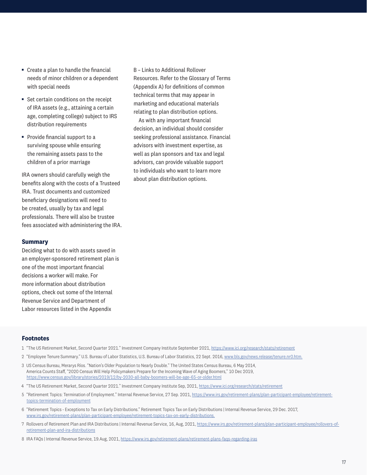- Create a plan to handle the financial needs of minor children or a dependent with special needs
- Set certain conditions on the receipt of IRA assets (e.g., attaining a certain age, completing college) subject to IRS distribution requirements
- Provide financial support to a surviving spouse while ensuring the remaining assets pass to the children of a prior marriage

IRA owners should carefully weigh the benefits along with the costs of a Trusteed IRA. Trust documents and customized beneficiary designations will need to be created, usually by tax and legal professionals. There will also be trustee fees associated with administering the IRA.

### **Summary**

Deciding what to do with assets saved in an employer-sponsored retirement plan is one of the most important financial decisions a worker will make. For more information about distribution options, check out some of the Internal Revenue Service and Department of Labor resources listed in the Appendix

B – Links to Additional Rollover Resources. Refer to the Glossary of Terms (Appendix A) for definitions of common technical terms that may appear in marketing and educational materials relating to plan distribution options.

As with any important financial decision, an individual should consider seeking professional assistance. Financial advisors with investment expertise, as well as plan sponsors and tax and legal advisors, can provide valuable support to individuals who want to learn more about plan distribution options.

#### **Footnotes**

- 1 "The US Retirement Market, Second Quarter 2021." Investment Company Institute September 2021, https://www.ici.org/research/stats/retirement
- 2 "Employee Tenure Summary." U.S. Bureau of Labor Statistics, U.S. Bureau of Labor Statistics, 22 Sept. 2016, www.bls.gov/news.release/tenure.nr0.htm.
- 3 US Census Bureau, Merarys Ríos. "Nation's Older Population to Nearly Double." The United States Census Bureau, 6 May 2014, America Counts Staff, "2020 Census Will Help Policymakers Prepare for the Incoming Wave of Aging Boomers," 10 Dec 2019, https://www.census.gov/library/stories/2019/12/by-2030-all-baby-boomers-will-be-age-65-or-older.html
- 4 "The US Retirement Market, Second Quarter 2021." Investment Company Institute Sep, 2021, https://www.ici.org/research/stats/retirement
- 5 "Retirement Topics: Termination of Employment." Internal Revenue Service, 27 Sep. 2021, https://www.irs.gov/retirement-plans/plan-participant-employee/retirementtopics-termination-of-employment
- 6 "Retirement Topics Exceptions to Tax on Early Distributions." Retirement Topics Tax on Early Distributions | Internal Revenue Service, 29 Dec. 2017, www.irs.gov/retirement-plans/plan-participant-employee/retirement-topics-tax-on-early-distributions.
- 7 Rollovers of Retirement Plan and IRA Distributions | Internal Revenue Service, 16, Aug, 2021, https://www.irs.gov/retirement-plans/plan-participant-employee/rollovers-ofretirement-plan-and-ira-distributions
- 8 IRA FAQs | Internal Revenue Service, 19.Aug, 2021, https://www.irs.gov/retirement-plans/retirement-plans-faqs-regarding-iras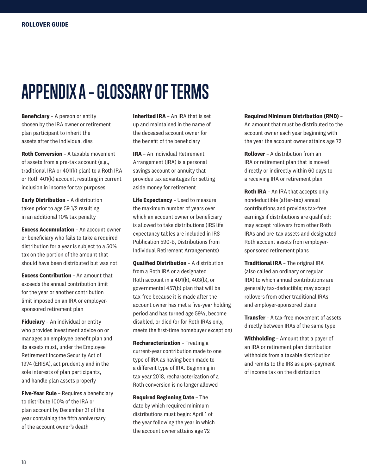# **APPENDIX A – GLOSSARY OF TERMS**

**Beneficiary** – A person or entity chosen by the IRA owner or retirement plan participant to inherit the assets after the individual dies

**Roth Conversion** – A taxable movement of assets from a pre-tax account (e.g., traditional IRA or 401(k) plan) to a Roth IRA or Roth 401(k) account, resulting in current inclusion in income for tax purposes

**Early Distribution** – A distribution taken prior to age 59 1/2 resulting in an additional 10% tax penalty

**Excess Accumulation** – An account owner or beneficiary who fails to take a required distribution for a year is subject to a 50% tax on the portion of the amount that should have been distributed but was not

**Excess Contribution** – An amount that exceeds the annual contribution limit for the year or another contribution limit imposed on an IRA or employersponsored retirement plan

**Fiduciary** – An individual or entity who provides investment advice on or manages an employee benefit plan and its assets must, under the Employee Retirement Income Security Act of 1974 (ERISA), act prudently and in the sole interests of plan participants, and handle plan assets properly

**Five-Year Rule** – Requires a beneficiary to distribute 100% of the IRA or plan account by December 31 of the year containing the fifth anniversary of the account owner's death

**Inherited IRA** – An IRA that is set up and maintained in the name of the deceased account owner for the benefit of the beneficiary

**IRA** – An Individual Retirement Arrangement (IRA) is a personal savings account or annuity that provides tax advantages for setting aside money for retirement

**Life Expectancy** – Used to measure the maximum number of years over which an account owner or beneficiary is allowed to take distributions (IRS life expectancy tables are included in IRS Publication 590-B, Distributions from Individual Retirement Arrangements)

**Qualified Distribution** – A distribution from a Roth IRA or a designated Roth account in a 401(k), 403(b), or governmental 457(b) plan that will be tax-free because it is made after the account owner has met a five-year holding period and has turned age 59½, become disabled, or died (or for Roth IRAs only, meets the first-time homebuyer exception)

**Recharacterization** – Treating a current-year contribution made to one type of IRA as having been made to a different type of IRA. Beginning in tax year 2018, recharacterization of a Roth conversion is no longer allowed

**Required Beginning Date** – The date by which required minimum distributions must begin: April 1 of the year following the year in which the account owner attains age 72

### **Required Minimum Distribution (RMD)** –

An amount that must be distributed to the account owner each year beginning with the year the account owner attains age 72

**Rollover** – A distribution from an IRA or retirement plan that is moved directly or indirectly within 60 days to a receiving IRA or retirement plan

**Roth IRA** – An IRA that accepts only nondeductible (after-tax) annual contributions and provides tax-free earnings if distributions are qualified; may accept rollovers from other Roth IRAs and pre-tax assets and designated Roth account assets from employersponsored retirement plans

**Traditional IRA** – The original IRA (also called an ordinary or regular IRA) to which annual contributions are generally tax-deductible; may accept rollovers from other traditional IRAs and employer-sponsored plans

**Transfer** – A tax-free movement of assets directly between IRAs of the same type

**Withholding** – Amount that a payer of an IRA or retirement plan distribution withholds from a taxable distribution and remits to the IRS as a pre-payment of income tax on the distribution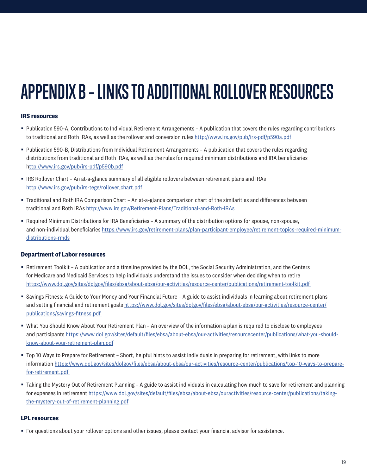# **APPENDIX B – LINKS TO ADDITIONAL ROLLOVER RESOURCES**

# **IRS resources**

- § Publication 590-A, Contributions to Individual Retirement Arrangements A publication that covers the rules regarding contributions to traditional and Roth IRAs, as well as the rollover and conversion rules http://www.irs.gov/pub/irs-pdf/p590a.pdf
- § Publication 590-B, Distributions from Individual Retirement Arrangements A publication that covers the rules regarding distributions from traditional and Roth IRAs, as well as the rules for required minimum distributions and IRA beneficiaries http://www.irs.gov/pub/irs-pdf/p590b.pdf
- § IRS Rollover Chart An at-a-glance summary of all eligible rollovers between retirement plans and IRAs http://www.irs.gov/pub/irs-tege/rollover chart.pdf
- § Traditional and Roth IRA Comparison Chart An at-a-glance comparison chart of the similarities and differences between traditional and Roth IRAs http://www.irs.gov/Retirement-Plans/Traditional-and-Roth-IRAs
- § Required Minimum Distributions for IRA Beneficiaries A summary of the distribution options for spouse, non-spouse, and non-individual beneficiaries https://www.irs.gov/retirement-plans/plan-participant-employee/retirement-topics-required-minimumdistributions-rmds

# **Department of Labor resources**

- § Retirement Toolkit A publication and a timeline provided by the DOL, the Social Security Administration, and the Centers for Medicare and Medicaid Services to help individuals understand the issues to consider when deciding when to retire https://www.dol.gov/sites/dolgov/files/ebsa/about-ebsa/our-activities/resource-center/publications/retirement-toolkit.pdf
- § Savings Fitness: A Guide to Your Money and Your Financial Future A guide to assist individuals in learning about retirement plans and setting financial and retirement goals https://www.dol.gov/sites/dolgov/files/ebsa/about-ebsa/our-activities/resource-center/ publications/savings-fitness.pdf
- § What You Should Know About Your Retirement Plan An overview of the information a plan is required to disclose to employees and participants https://www.dol.gov/sites/default/files/ebsa/about-ebsa/our-activities/resourcecenter/publications/what-you-shouldknow-about-your-retirement-plan.pdf
- § Top 10 Ways to Prepare for Retirement Short, helpful hints to assist individuals in preparing for retirement, with links to more information https://www.dol.gov/sites/dolgov/files/ebsa/about-ebsa/our-activities/resource-center/publications/top-10-ways-to-preparefor-retirement.pdf
- Taking the Mystery Out of Retirement Planning A guide to assist individuals in calculating how much to save for retirement and planning for expenses in retirement https://www.dol.gov/sites/default/files/ebsa/about-ebsa/ouractivities/resource-center/publications/takingthe-mystery-out-of-retirement-planning.pdf

# **LPL resources**

■ For questions about your rollover options and other issues, please contact your financial advisor for assistance.